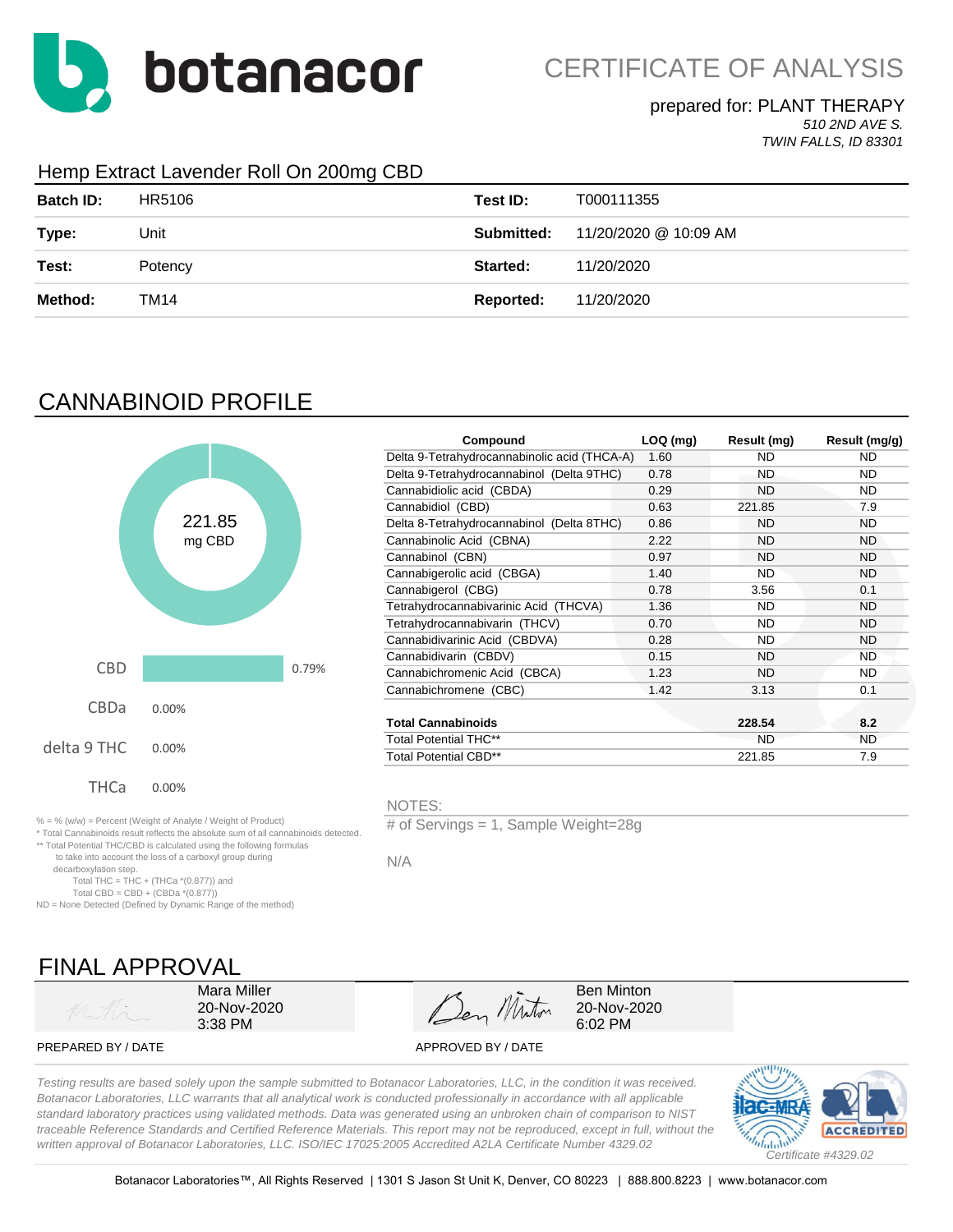

### prepared for: PLANT THERAPY

*510 2ND AVE S. TWIN FALLS, ID 83301*

### Hemp Extract Lavender Roll On 200mg CBD

| <b>Batch ID:</b> | HR5106  | Test ID:  | T000111355                              |
|------------------|---------|-----------|-----------------------------------------|
| Type:            | Unit    |           | <b>Submitted:</b> 11/20/2020 @ 10:09 AM |
| Test:            | Potency | Started:  | 11/20/2020                              |
| Method:          | TM14    | Reported: | 11/20/2020                              |

# CANNABINOID PROFILE



\*\* Total Potential THC/CBD is calculated using the following formulas to take into account the loss of a carboxyl group during

Total THC = THC + (THCa  $*(0.877)$ ) and Total CBD = CBD +  $(CBDa * (0.877))$ ND = None Detected (Defined by Dynamic Range of the method)

|                                           |      |                                              | Result (mg/g)                         |
|-------------------------------------------|------|----------------------------------------------|---------------------------------------|
|                                           | 1.60 | <b>ND</b>                                    | <b>ND</b>                             |
| Delta 9-Tetrahydrocannabinol (Delta 9THC) | 0.78 | ND.                                          | ND.                                   |
| Cannabidiolic acid (CBDA)                 | 0.29 | <b>ND</b>                                    | <b>ND</b>                             |
| Cannabidiol (CBD)                         | 0.63 | 221.85                                       | 7.9                                   |
| Delta 8-Tetrahydrocannabinol (Delta 8THC) | 0.86 | ND.                                          | <b>ND</b>                             |
| Cannabinolic Acid (CBNA)                  | 2.22 | <b>ND</b>                                    | ND.                                   |
| Cannabinol (CBN)                          | 0.97 | <b>ND</b>                                    | <b>ND</b>                             |
| Cannabigerolic acid (CBGA)                | 1.40 | ND                                           | ND.                                   |
| Cannabigerol (CBG)                        | 0.78 | 3.56                                         | 0.1                                   |
| Tetrahydrocannabivarinic Acid (THCVA)     | 1.36 | <b>ND</b>                                    | <b>ND</b>                             |
| Tetrahydrocannabivarin (THCV)             | 0.70 | <b>ND</b>                                    | ND.                                   |
| Cannabidivarinic Acid (CBDVA)             | 0.28 | <b>ND</b>                                    | ND.                                   |
| Cannabidivarin (CBDV)                     | 0.15 | <b>ND</b>                                    | ND.                                   |
| Cannabichromenic Acid (CBCA)              | 1.23 | <b>ND</b>                                    | <b>ND</b>                             |
| Cannabichromene (CBC)                     | 1.42 | 3.13                                         | 0.1                                   |
|                                           |      |                                              |                                       |
| <b>Total Cannabinoids</b>                 |      | 228.54                                       | 8.2                                   |
| <b>Total Potential THC**</b>              |      | <b>ND</b>                                    | <b>ND</b>                             |
| Total Potential CBD**                     |      | 221.85                                       | 7.9                                   |
| 0.79%                                     |      | Delta 9-Tetrahydrocannabinolic acid (THCA-A) | $LOQ$ (mg)<br>Result (mg)<br>Compound |

NOTES:

# of Servings = 1, Sample Weight=28g

N/A

FINAL APPROVAL

decarboxylation step.

Mara Miller 20-Nov-2020 3:38 PM

Den Minton

Ben Minton 20-Nov-2020 6:02 PM

PREPARED BY / DATE APPROVED BY / DATE

*Testing results are based solely upon the sample submitted to Botanacor Laboratories, LLC, in the condition it was received. Botanacor Laboratories, LLC warrants that all analytical work is conducted professionally in accordance with all applicable standard laboratory practices using validated methods. Data was generated using an unbroken chain of comparison to NIST traceable Reference Standards and Certified Reference Materials. This report may not be reproduced, except in full, without the written approval of Botanacor Laboratories, LLC. ISO/IEC 17025:2005 Accredited A2LA Certificate Number 4329.02*

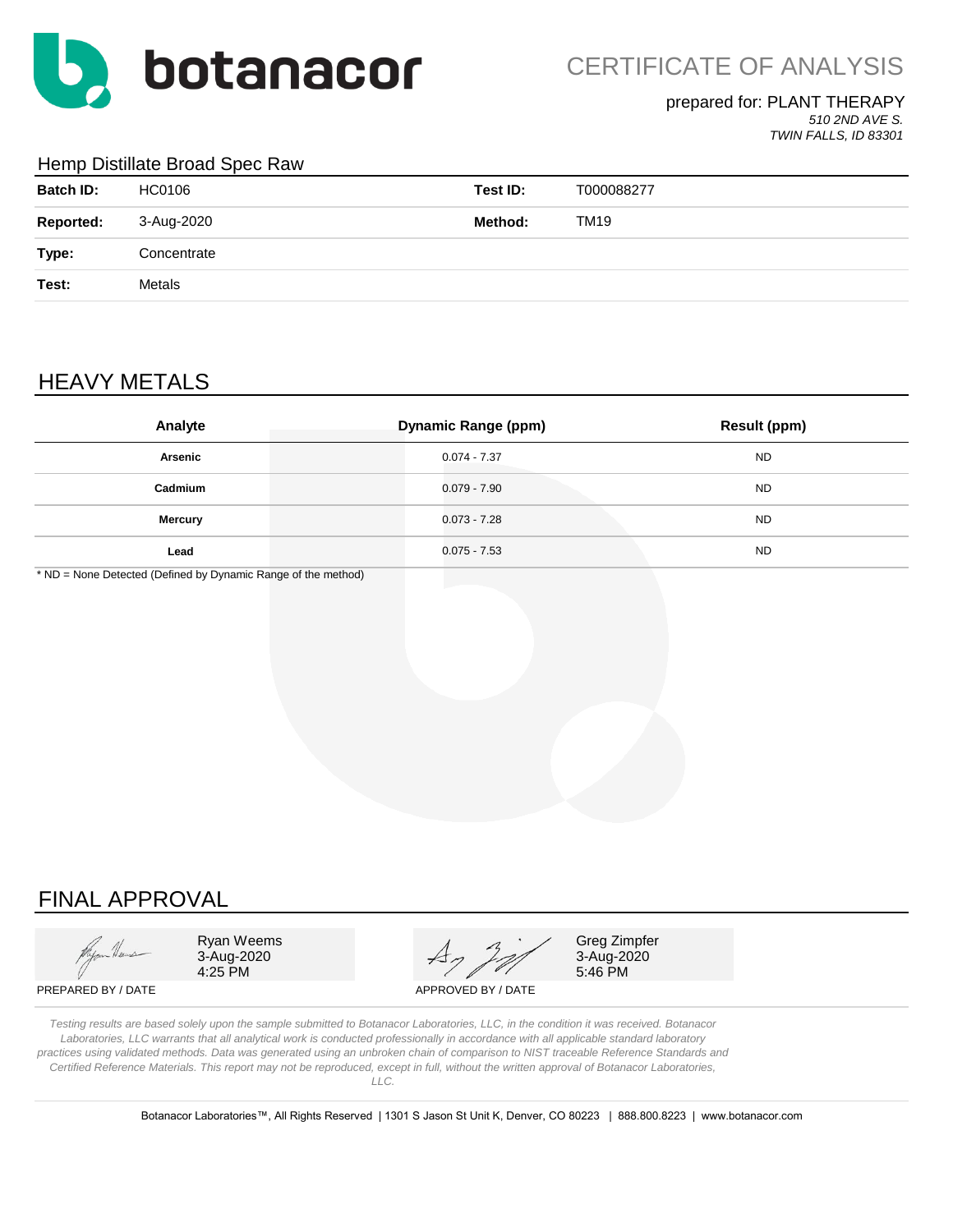

### prepared for: PLANT THERAPY

*510 2ND AVE S. TWIN FALLS, ID 83301*

#### Hemp Distillate Broad Spec Raw

| <b>Batch ID:</b> | HC0106      | Test ID: | T000088277 |
|------------------|-------------|----------|------------|
| <b>Reported:</b> | 3-Aug-2020  | Method:  | TM19       |
| Type:            | Concentrate |          |            |
| Test:            | Metals      |          |            |
|                  |             |          |            |

## HEAVY METALS

| Analyte        | <b>Dynamic Range (ppm)</b> | <b>Result (ppm)</b> |
|----------------|----------------------------|---------------------|
| Arsenic        | $0.074 - 7.37$             | <b>ND</b>           |
| Cadmium        | $0.079 - 7.90$             | <b>ND</b>           |
| <b>Mercury</b> | $0.073 - 7.28$             | <b>ND</b>           |
| Lead           | $0.075 - 7.53$             | <b>ND</b>           |

\* ND = None Detected (Defined by Dynamic Range of the method)

## FINAL APPROVAL

3-Aug-2020<br>4:25 PM

4:25 PM 5:46 PM Ryan Weems  $\overline{A}$   $\overline{A}$   $\overline{C}$  Greg Zimpfer

3-Aug-2020<br>5:46 PM

PREPARED BY / DATE APPROVED BY / DATE

*Testing results are based solely upon the sample submitted to Botanacor Laboratories, LLC, in the condition it was received. Botanacor Laboratories, LLC warrants that all analytical work is conducted professionally in accordance with all applicable standard laboratory practices using validated methods. Data was generated using an unbroken chain of comparison to NIST traceable Reference Standards and Certified Reference Materials. This report may not be reproduced, except in full, without the written approval of Botanacor Laboratories, LLC.* 

Botanacor Laboratories™, All Rights Reserved | 1301 S Jason St Unit K, Denver, CO 80223 | 888.800.8223 | www.botanacor.com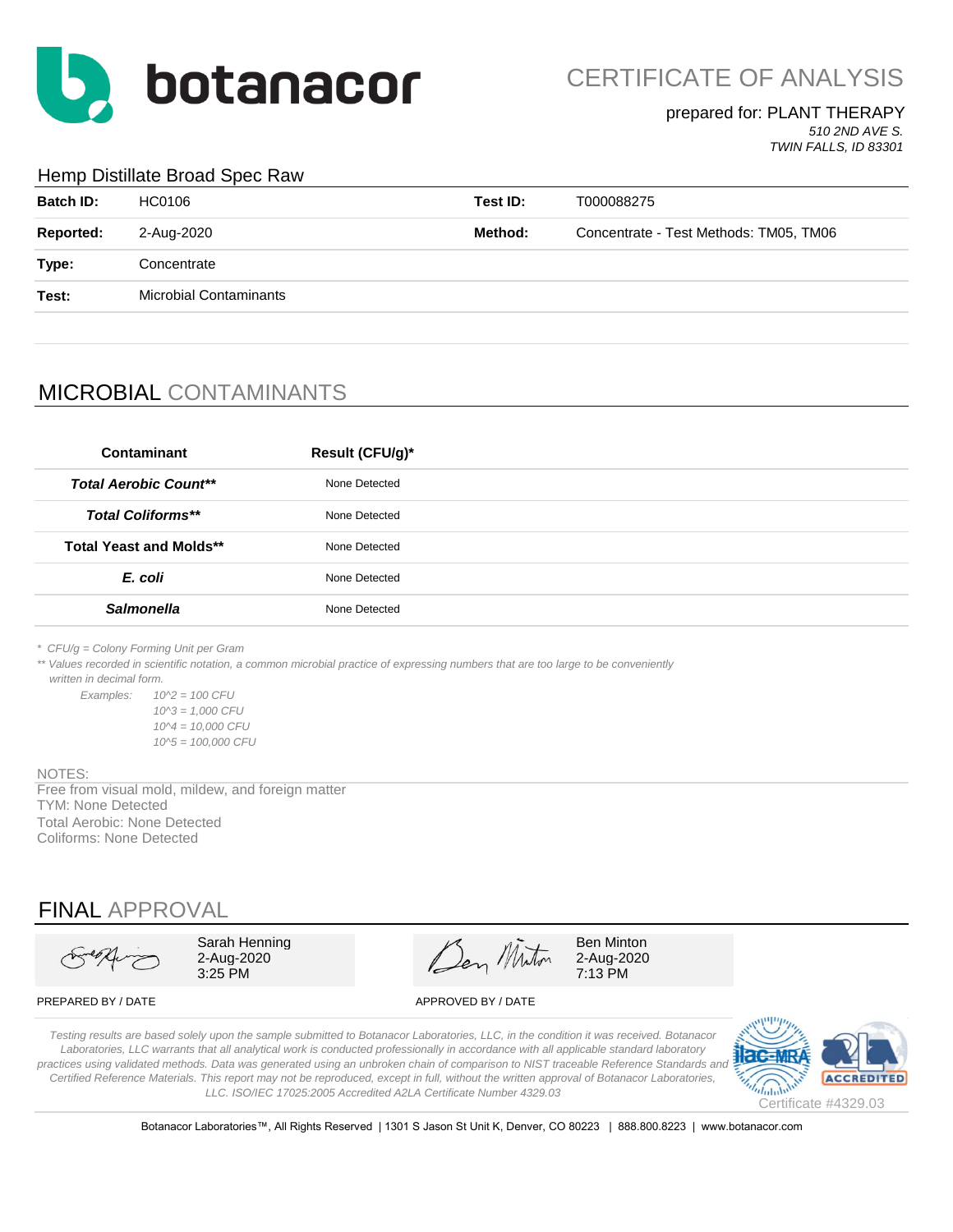

#### prepared for: PLANT THERAPY *510 2ND AVE S.*

*TWIN FALLS, ID 83301*

#### Hemp Distillate Broad Spec Raw

| <b>Batch ID:</b> | HC0106                        | Test ID: | T000088275                             |
|------------------|-------------------------------|----------|----------------------------------------|
| <b>Reported:</b> | 2-Aug-2020                    | Method:  | Concentrate - Test Methods: TM05, TM06 |
| Type:            | Concentrate                   |          |                                        |
| Test:            | <b>Microbial Contaminants</b> |          |                                        |
|                  |                               |          |                                        |

## MICROBIAL CONTAMINANTS

| Contaminant                    | Result (CFU/g)* |
|--------------------------------|-----------------|
| <b>Total Aerobic Count**</b>   | None Detected   |
| <b>Total Coliforms**</b>       | None Detected   |
| <b>Total Yeast and Molds**</b> | None Detected   |
| E. coli                        | None Detected   |
| <b>Salmonella</b>              | None Detected   |
|                                |                 |

*\* CFU/g = Colony Forming Unit per Gram*

\*\* Values recorded in scientific notation, a common microbial practice of expressing numbers that are too large to be conveniently  *written in decimal form.*

*Examples: 10^2 = 100 CFU 10^3 = 1,000 CFU 10^4 = 10,000 CFU 10^5 = 100,000 CFU*

#### NOTES:

Free from visual mold, mildew, and foreign matter TYM: None Detected Total Aerobic: None Detected Coliforms: None Detected

## FINAL APPROVAL

Sarah Henning  $\mathscr{A}$   $\mathscr{A}$  Ben Minton 2-Aug-2020 2-Aug-2020  $3.25 \text{ PM}$   $7.13 \text{ PM}$ 

PREPARED BY / DATE APPROVED BY / DATE

*Testing results are based solely upon the sample submitted to Botanacor Laboratories, LLC, in the condition it was received. Botanacor Laboratories, LLC warrants that all analytical work is conducted professionally in accordance with all applicable standard laboratory*  practices using validated methods. Data was generated using an unbroken chain of comparison to NIST traceable Reference Standards and *Certified Reference Materials. This report may not be reproduced, except in full, without the written approval of Botanacor Laboratories, LLC. ISO/IEC 17025:2005 Accredited A2LA Certificate Number 4329.03*



Botanacor Laboratories™, All Rights Reserved | 1301 S Jason St Unit K, Denver, CO 80223 | 888.800.8223 | www.botanacor.com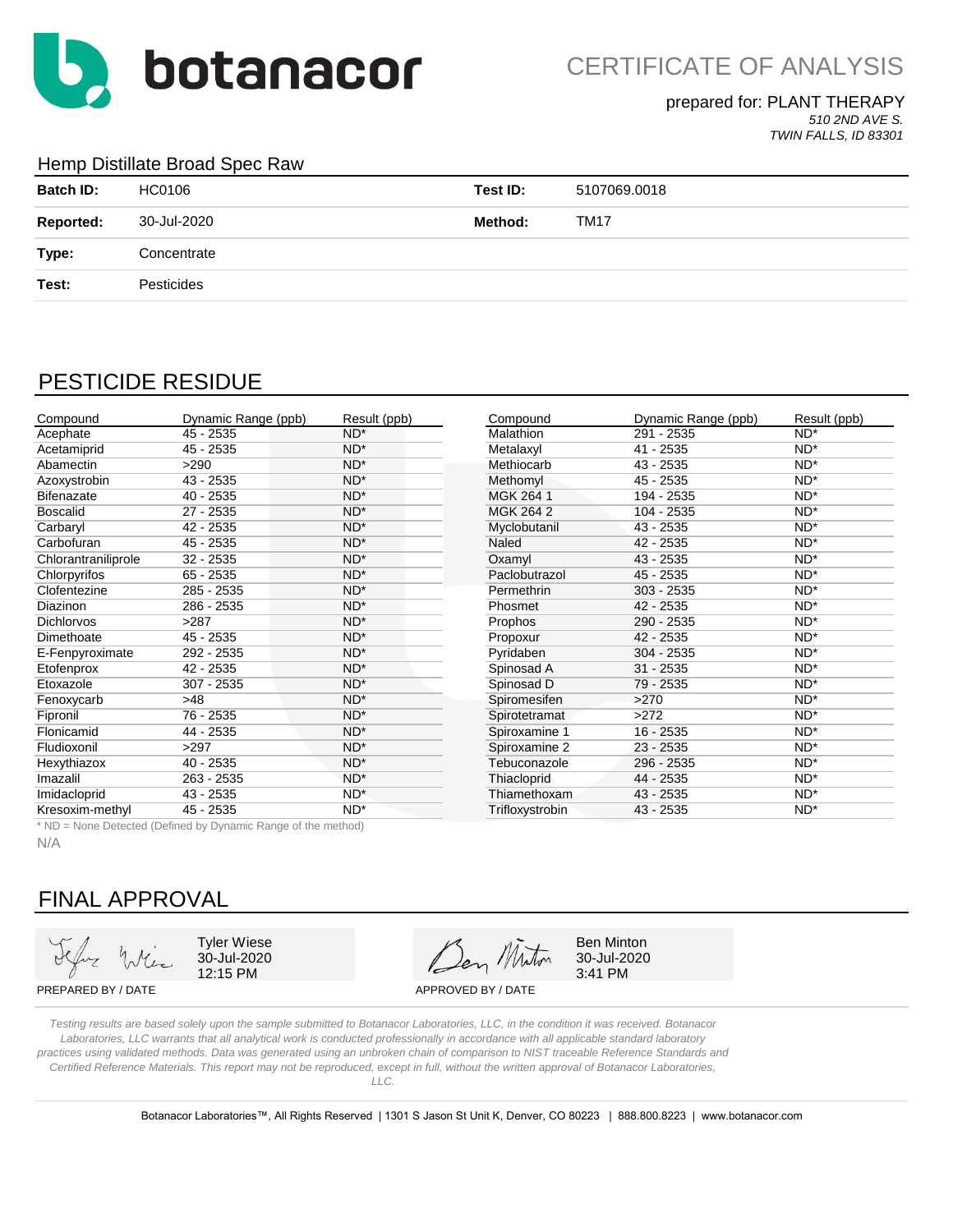

### prepared for: PLANT THERAPY

*510 2ND AVE S. TWIN FALLS, ID 83301*

#### Hemp Distillate Broad Spec Raw

| <b>Batch ID:</b> | HC0106      | Test ID: | 5107069.0018 |
|------------------|-------------|----------|--------------|
| <b>Reported:</b> | 30-Jul-2020 | Method:  | <b>TM17</b>  |
| Type:            | Concentrate |          |              |
| Test:            | Pesticides  |          |              |
|                  |             |          |              |

## PESTICIDE RESIDUE

| Compound            | Dynamic Range (ppb) | Result (ppb)    | Compound         | Dynamic Range (ppb) | Result (ppb) |
|---------------------|---------------------|-----------------|------------------|---------------------|--------------|
| Acephate            | 45 - 2535           | $ND^*$          | <b>Malathion</b> | 291 - 2535          | $ND^*$       |
| Acetamiprid         | 45 - 2535           | $ND^*$          | Metalaxyl        | 41 - 2535           | $ND^*$       |
| Abamectin           | >290                | $ND^*$          | Methiocarb       | 43 - 2535           | $ND^*$       |
| Azoxystrobin        | $43 - 2535$         | $ND^*$          | Methomyl         | 45 - 2535           | $ND^*$       |
| <b>Bifenazate</b>   | $40 - 2535$         | ND <sup>*</sup> | MGK 264 1        | 194 - 2535          | $ND^*$       |
| <b>Boscalid</b>     | $27 - 2535$         | ND <sup>*</sup> | MGK 264 2        | 104 - 2535          | ND*          |
| Carbaryl            | 42 - 2535           | $ND^*$          | Myclobutanil     | 43 - 2535           | $ND^*$       |
| Carbofuran          | 45 - 2535           | $ND^*$          | Naled            | 42 - 2535           | $ND^*$       |
| Chlorantraniliprole | $32 - 2535$         | $ND^*$          | Oxamyl           | 43 - 2535           | $ND^*$       |
| Chlorpyrifos        | $65 - 2535$         | $ND^*$          | Paclobutrazol    | 45 - 2535           | $ND^*$       |
| Clofentezine        | 285 - 2535          | $ND^*$          | Permethrin       | $303 - 2535$        | $ND^*$       |
| <b>Diazinon</b>     | 286 - 2535          | $ND^*$          | Phosmet          | 42 - 2535           | $ND^*$       |
| <b>Dichlorvos</b>   | >287                | $ND^*$          | <b>Prophos</b>   | 290 - 2535          | $ND^*$       |
| Dimethoate          | 45 - 2535           | $ND^*$          | Propoxur         | 42 - 2535           | $ND^*$       |
| E-Fenpyroximate     | 292 - 2535          | $ND^*$          | Pyridaben        | 304 - 2535          | $ND^*$       |
| Etofenprox          | 42 - 2535           | ND <sup>*</sup> | Spinosad A       | $31 - 2535$         | $ND^*$       |
| Etoxazole           | 307 - 2535          | $ND^*$          | Spinosad D       | 79 - 2535           | $ND^*$       |
| Fenoxycarb          | >48                 | $ND^*$          | Spiromesifen     | >270                | $ND^*$       |
| Fipronil            | 76 - 2535           | $ND^*$          | Spirotetramat    | >272                | $ND^*$       |
| Flonicamid          | 44 - 2535           | $ND^*$          | Spiroxamine 1    | 16 - 2535           | $ND^*$       |
| Fludioxonil         | >297                | $ND^*$          | Spiroxamine 2    | 23 - 2535           | $ND^*$       |
| Hexythiazox         | $40 - 2535$         | $ND^*$          | Tebuconazole     | 296 - 2535          | $ND^*$       |
| Imazalil            | 263 - 2535          | $ND^*$          | Thiacloprid      | 44 - 2535           | $ND^*$       |
| Imidacloprid        | 43 - 2535           | $ND^*$          | Thiamethoxam     | 43 - 2535           | $ND^*$       |
| Kresoxim-methyl     | 45 - 2535           | $ND^*$          | Trifloxystrobin  | 43 - 2535           | $ND^*$       |

\* ND = None Detected (Defined by Dynamic Range of the method)

N/A

## FINAL APPROVAL

Tyler Wiese  $\overline{A}$   $\overline{A}$  Ben Minton 30-Jul-2020 30-Jul-2020 12:15 PM  $\frac{12.15 \text{ PM}}{3.41 \text{ PM}}$ 

PREPARED BY / DATE APPROVED BY / DATE

*Testing results are based solely upon the sample submitted to Botanacor Laboratories, LLC, in the condition it was received. Botanacor Laboratories, LLC warrants that all analytical work is conducted professionally in accordance with all applicable standard laboratory practices using validated methods. Data was generated using an unbroken chain of comparison to NIST traceable Reference Standards and Certified Reference Materials. This report may not be reproduced, except in full, without the written approval of Botanacor Laboratories,* 

*LLC.*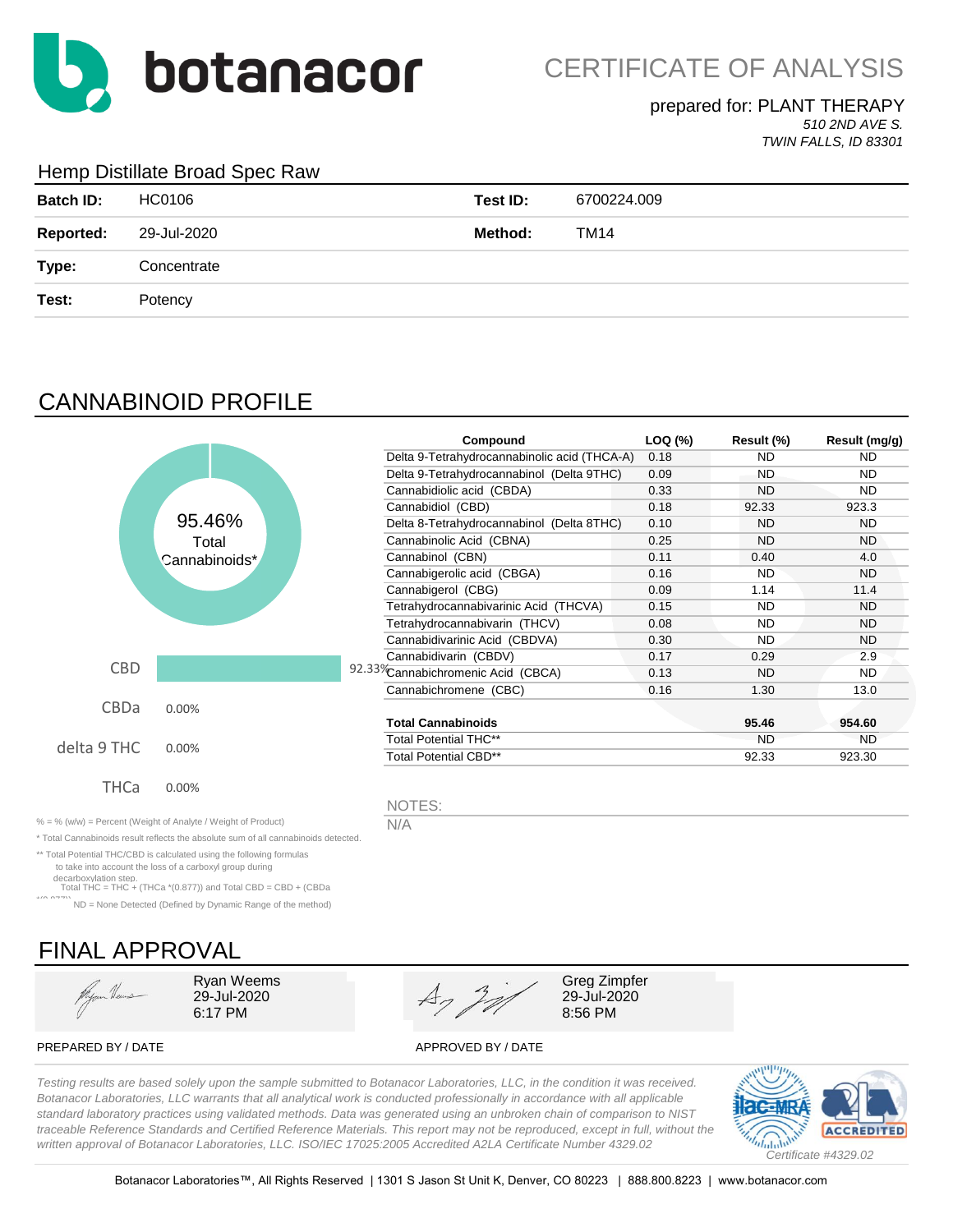

### prepared for: PLANT THERAPY

*510 2ND AVE S. TWIN FALLS, ID 83301*

### Hemp Distillate Broad Spec Raw

| <b>Batch ID:</b> | HC0106      | Test ID: | 6700224.009 |
|------------------|-------------|----------|-------------|
| <b>Reported:</b> | 29-Jul-2020 | Method:  | TM14        |
| Type:            | Concentrate |          |             |
| Test:            | Potency     |          |             |

# CANNABINOID PROFILE

|             |                                                          | Compound                                     | LOQ (%) | Result (%) | Result (mg/g) |
|-------------|----------------------------------------------------------|----------------------------------------------|---------|------------|---------------|
|             |                                                          | Delta 9-Tetrahydrocannabinolic acid (THCA-A) | 0.18    | ND.        | <b>ND</b>     |
|             |                                                          | Delta 9-Tetrahydrocannabinol (Delta 9THC)    | 0.09    | ND.        | ND.           |
|             |                                                          | Cannabidiolic acid (CBDA)                    | 0.33    | <b>ND</b>  | ND.           |
|             |                                                          | Cannabidiol (CBD)                            | 0.18    | 92.33      | 923.3         |
|             | 95.46%                                                   | Delta 8-Tetrahydrocannabinol (Delta 8THC)    | 0.10    | <b>ND</b>  | <b>ND</b>     |
|             | Total                                                    | Cannabinolic Acid (CBNA)                     | 0.25    | <b>ND</b>  | ND.           |
|             | Cannabinoids*                                            | Cannabinol (CBN)                             | 0.11    | 0.40       | 4.0           |
|             |                                                          | Cannabigerolic acid (CBGA)                   | 0.16    | <b>ND</b>  | <b>ND</b>     |
|             |                                                          | Cannabigerol (CBG)                           | 0.09    | 1.14       | 11.4          |
|             |                                                          | Tetrahydrocannabivarinic Acid (THCVA)        | 0.15    | <b>ND</b>  | <b>ND</b>     |
|             |                                                          | Tetrahydrocannabivarin (THCV)                | 0.08    | <b>ND</b>  | <b>ND</b>     |
|             |                                                          | Cannabidivarinic Acid (CBDVA)                | 0.30    | <b>ND</b>  | <b>ND</b>     |
|             |                                                          | Cannabidivarin (CBDV)                        | 0.17    | 0.29       | 2.9           |
| CBD         |                                                          | 92.33%Cannabichromenic Acid (CBCA)           | 0.13    | <b>ND</b>  | ND.           |
|             |                                                          | Cannabichromene (CBC)                        | 0.16    | 1.30       | 13.0          |
| CBDa        | 0.00%                                                    |                                              |         |            |               |
|             |                                                          | <b>Total Cannabinoids</b>                    |         | 95.46      | 954.60        |
|             |                                                          | <b>Total Potential THC**</b>                 |         | <b>ND</b>  | <b>ND</b>     |
| delta 9 THC | 0.00%                                                    | <b>Total Potential CBD**</b>                 |         | 92.33      | 923.30        |
| <b>THCa</b> | 0.00%                                                    |                                              |         |            |               |
|             |                                                          | NOTES:                                       |         |            |               |
|             | 0/ (ushed Demant (Mejaht of Anglita / Mejaht of Draduat) | <b>BIA</b>                                   |         |            |               |

% = % (w/w) = Percent (Weight of Analyte / Weight of Product)  $N/A$ \* Total Cannabinoids result reflects the absolute sum of all cannabinoids detected.

\*\* Total Potential THC/CBD is calculated using the following formulas

 to take into account the loss of a carboxyl group during decarboxylation step. Total THC = THC + (THCa \*(0.877)) and Total CBD = CBD + (CBDa

\*(0.877)) ND = None Detected (Defined by Dynamic Range of the method)

# FINAL APPROVAL

Hyan Heus



PREPARED BY / DATE APPROVED BY / DATE

*Testing results are based solely upon the sample submitted to Botanacor Laboratories, LLC, in the condition it was received. Botanacor Laboratories, LLC warrants that all analytical work is conducted professionally in accordance with all applicable standard laboratory practices using validated methods. Data was generated using an unbroken chain of comparison to NIST traceable Reference Standards and Certified Reference Materials. This report may not be reproduced, except in full, without the written approval of Botanacor Laboratories, LLC. ISO/IEC 17025:2005 Accredited A2LA Certificate Number 4329.02*